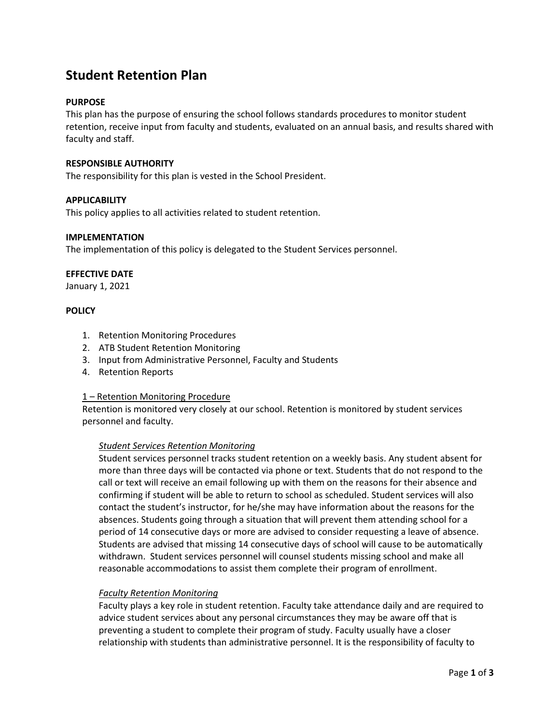# **Student Retention Plan**

# **PURPOSE**

This plan has the purpose of ensuring the school follows standards procedures to monitor student retention, receive input from faculty and students, evaluated on an annual basis, and results shared with faculty and staff.

# **RESPONSIBLE AUTHORITY**

The responsibility for this plan is vested in the School President.

## **APPLICABILITY**

This policy applies to all activities related to student retention.

## **IMPLEMENTATION**

The implementation of this policy is delegated to the Student Services personnel.

# **EFFECTIVE DATE**

January 1, 2021

# **POLICY**

- 1. Retention Monitoring Procedures
- 2. ATB Student Retention Monitoring
- 3. Input from Administrative Personnel, Faculty and Students
- 4. Retention Reports

## 1 – Retention Monitoring Procedure

Retention is monitored very closely at our school. Retention is monitored by student services personnel and faculty.

## *Student Services Retention Monitoring*

Student services personnel tracks student retention on a weekly basis. Any student absent for more than three days will be contacted via phone or text. Students that do not respond to the call or text will receive an email following up with them on the reasons for their absence and confirming if student will be able to return to school as scheduled. Student services will also contact the student's instructor, for he/she may have information about the reasons for the absences. Students going through a situation that will prevent them attending school for a period of 14 consecutive days or more are advised to consider requesting a leave of absence. Students are advised that missing 14 consecutive days of school will cause to be automatically withdrawn. Student services personnel will counsel students missing school and make all reasonable accommodations to assist them complete their program of enrollment.

# *Faculty Retention Monitoring*

Faculty plays a key role in student retention. Faculty take attendance daily and are required to advice student services about any personal circumstances they may be aware off that is preventing a student to complete their program of study. Faculty usually have a closer relationship with students than administrative personnel. It is the responsibility of faculty to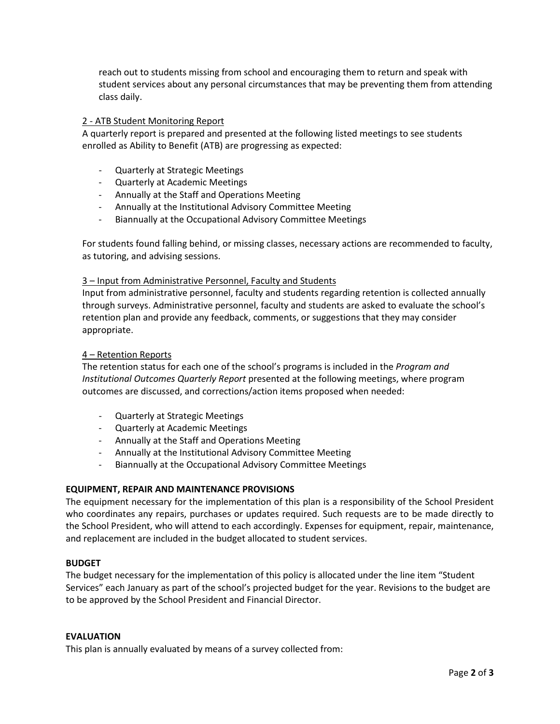reach out to students missing from school and encouraging them to return and speak with student services about any personal circumstances that may be preventing them from attending class daily.

# 2 - ATB Student Monitoring Report

A quarterly report is prepared and presented at the following listed meetings to see students enrolled as Ability to Benefit (ATB) are progressing as expected:

- Quarterly at Strategic Meetings
- Quarterly at Academic Meetings
- Annually at the Staff and Operations Meeting
- Annually at the Institutional Advisory Committee Meeting
- Biannually at the Occupational Advisory Committee Meetings

For students found falling behind, or missing classes, necessary actions are recommended to faculty, as tutoring, and advising sessions.

## 3 – Input from Administrative Personnel, Faculty and Students

Input from administrative personnel, faculty and students regarding retention is collected annually through surveys. Administrative personnel, faculty and students are asked to evaluate the school's retention plan and provide any feedback, comments, or suggestions that they may consider appropriate.

## 4 – Retention Reports

The retention status for each one of the school's programs is included in the *Program and Institutional Outcomes Quarterly Report* presented at the following meetings, where program outcomes are discussed, and corrections/action items proposed when needed:

- Quarterly at Strategic Meetings
- Quarterly at Academic Meetings
- Annually at the Staff and Operations Meeting
- Annually at the Institutional Advisory Committee Meeting
- Biannually at the Occupational Advisory Committee Meetings

## **EQUIPMENT, REPAIR AND MAINTENANCE PROVISIONS**

The equipment necessary for the implementation of this plan is a responsibility of the School President who coordinates any repairs, purchases or updates required. Such requests are to be made directly to the School President, who will attend to each accordingly. Expenses for equipment, repair, maintenance, and replacement are included in the budget allocated to student services.

# **BUDGET**

The budget necessary for the implementation of this policy is allocated under the line item "Student Services" each January as part of the school's projected budget for the year. Revisions to the budget are to be approved by the School President and Financial Director.

#### **EVALUATION**

This plan is annually evaluated by means of a survey collected from: